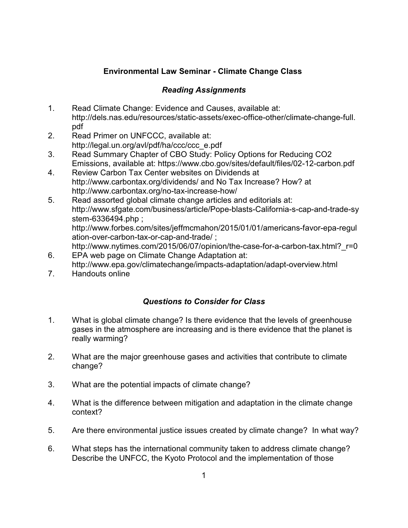## **Environmental Law Seminar - Climate Change Class**

## *Reading Assignments*

- 1. Read Climate Change: Evidence and Causes, available at: http://dels.nas.edu/resources/static-assets/exec-office-other/climate-change-full. pdf
- 2. Read Primer on UNFCCC, available at: http://legal.un.org/avl/pdf/ha/ccc/ccc\_e.pdf
- 3. Read Summary Chapter of CBO Study: Policy Options for Reducing CO2 Emissions, available at: https://www.cbo.gov/sites/default/files/02-12-carbon.pdf
- 4. Review Carbon Tax Center websites on Dividends at http://www.carbontax.org/dividends/ and No Tax Increase? How? at http://www.carbontax.org/no-tax-increase-how/
- 5. Read assorted global climate change articles and editorials at: http://www.sfgate.com/business/article/Pope-blasts-California-s-cap-and-trade-sy stem-6336494.php ; http://www.forbes.com/sites/jeffmcmahon/2015/01/01/americans-favor-epa-regul ation-over-carbon-tax-or-cap-and-trade/ ;
- http://www.nytimes.com/2015/06/07/opinion/the-case-for-a-carbon-tax.html? r=0 6. EPA web page on Climate Change Adaptation at:
- http://www.epa.gov/climatechange/impacts-adaptation/adapt-overview.html
- 7. Handouts online

## *Questions to Consider for Class*

- 1. What is global climate change? Is there evidence that the levels of greenhouse gases in the atmosphere are increasing and is there evidence that the planet is really warming?
- 2. What are the major greenhouse gases and activities that contribute to climate change?
- 3. What are the potential impacts of climate change?
- 4. What is the difference between mitigation and adaptation in the climate change context?
- 5. Are there environmental justice issues created by climate change? In what way?
- 6. What steps has the international community taken to address climate change? Describe the UNFCC, the Kyoto Protocol and the implementation of those